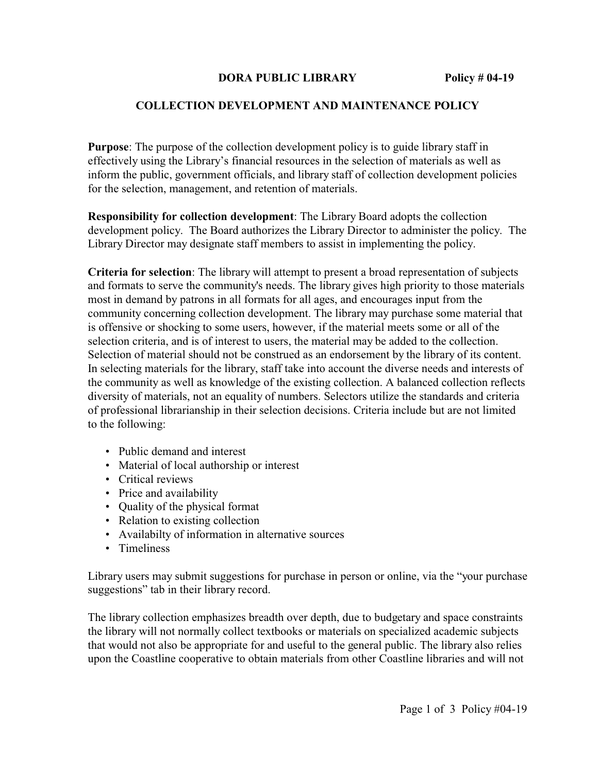## **DORA PUBLIC LIBRARY** Policy # 04-19

## **COLLECTION DEVELOPMENT AND MAINTENANCE POLICY**

**Purpose**: The purpose of the collection development policy is to guide library staff in effectively using the Library's financial resources in the selection of materials as well as inform the public, government officials, and library staff of collection development policies for the selection, management, and retention of materials.

**Responsibility for collection development**: The Library Board adopts the collection development policy. The Board authorizes the Library Director to administer the policy. The Library Director may designate staff members to assist in implementing the policy.

**Criteria for selection**: The library will attempt to present a broad representation of subjects and formats to serve the community's needs. The library gives high priority to those materials most in demand by patrons in all formats for all ages, and encourages input from the community concerning collection development. The library may purchase some material that is offensive or shocking to some users, however, if the material meets some or all of the selection criteria, and is of interest to users, the material may be added to the collection. Selection of material should not be construed as an endorsement by the library of its content. In selecting materials for the library, staff take into account the diverse needs and interests of the community as well as knowledge of the existing collection. A balanced collection reflects diversity of materials, not an equality of numbers. Selectors utilize the standards and criteria of professional librarianship in their selection decisions. Criteria include but are not limited to the following:

- Public demand and interest
- Material of local authorship or interest
- Critical reviews
- Price and availability
- Quality of the physical format
- Relation to existing collection
- Availabilty of information in alternative sources
- Timeliness

Library users may submit suggestions for purchase in person or online, via the "your purchase suggestions" tab in their library record.

The library collection emphasizes breadth over depth, due to budgetary and space constraints the library will not normally collect textbooks or materials on specialized academic subjects that would not also be appropriate for and useful to the general public. The library also relies upon the Coastline cooperative to obtain materials from other Coastline libraries and will not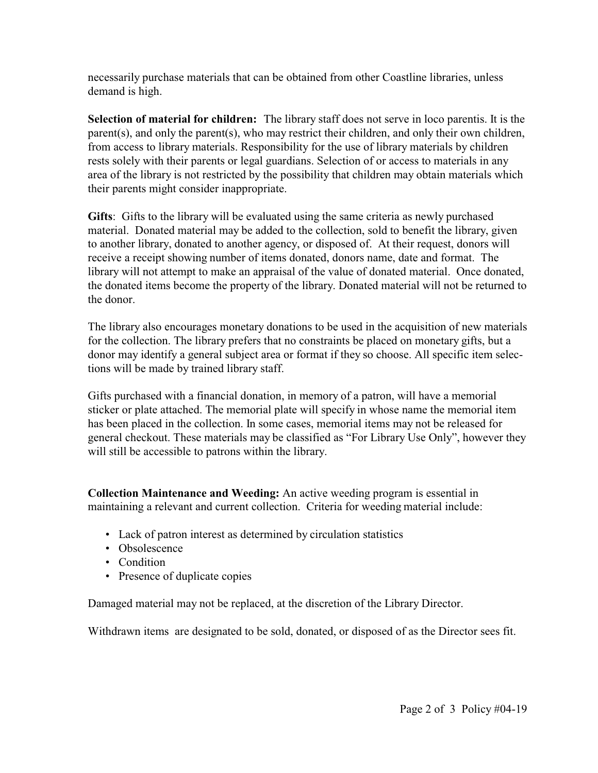necessarily purchase materials that can be obtained from other Coastline libraries, unless demand is high.

**Selection of material for children:** The library staff does not serve in loco parentis. It is the parent(s), and only the parent(s), who may restrict their children, and only their own children, from access to library materials. Responsibility for the use of library materials by children rests solely with their parents or legal guardians. Selection of or access to materials in any area of the library is not restricted by the possibility that children may obtain materials which their parents might consider inappropriate.

**Gifts**: Gifts to the library will be evaluated using the same criteria as newly purchased material. Donated material may be added to the collection, sold to benefit the library, given to another library, donated to another agency, or disposed of. At their request, donors will receive a receipt showing number of items donated, donors name, date and format. The library will not attempt to make an appraisal of the value of donated material. Once donated, the donated items become the property of the library. Donated material will not be returned to the donor.

The library also encourages monetary donations to be used in the acquisition of new materials for the collection. The library prefers that no constraints be placed on monetary gifts, but a donor may identify a general subject area or format if they so choose. All specific item selections will be made by trained library staff.

Gifts purchased with a financial donation, in memory of a patron, will have a memorial sticker or plate attached. The memorial plate will specify in whose name the memorial item has been placed in the collection. In some cases, memorial items may not be released for general checkout. These materials may be classified as "For Library Use Only", however they will still be accessible to patrons within the library.

**Collection Maintenance and Weeding:** An active weeding program is essential in maintaining a relevant and current collection. Criteria for weeding material include:

- Lack of patron interest as determined by circulation statistics
- Obsolescence
- Condition
- Presence of duplicate copies

Damaged material may not be replaced, at the discretion of the Library Director.

Withdrawn items are designated to be sold, donated, or disposed of as the Director sees fit.